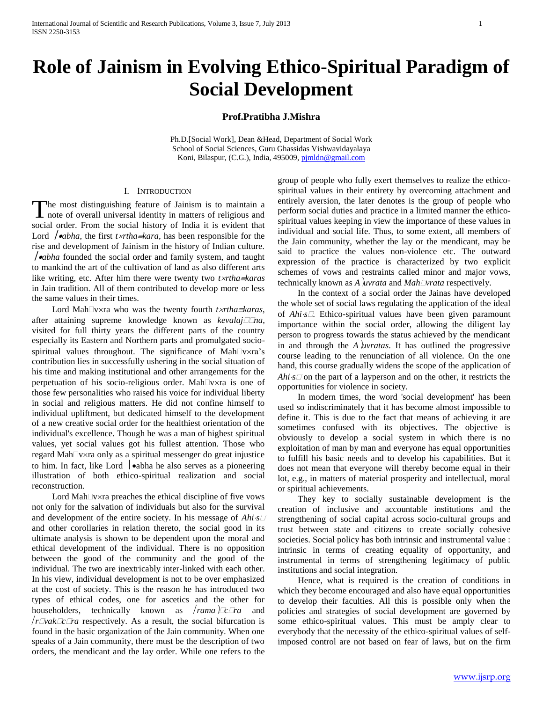# **Role of Jainism in Evolving Ethico-Spiritual Paradigm of Social Development**

## **Prof.Pratibha J.Mishra**

Ph.D.[Social Work], Dean &Head, Department of Social Work School of Social Sciences, Guru Ghassidas Vishwavidayalaya Koni, Bilaspur, (C.G.), India, 495009[, pjmldn@gmail.com](mailto:pjmldn@gmail.com)

#### I. INTRODUCTION

he most distinguishing feature of Jainism is to maintain a The most distinguishing feature of Jainism is to maintain a note of overall universal identity in matters of religious and social order. From the social history of India it is evident that Lord  $\int$ **•***abha*, the first *txrtha* $\equiv$ *kara*, has been responsible for the rise and development of Jainism in the history of Indian culture. *abha* founded the social order and family system, and taught to mankind the art of the cultivation of land as also different arts like writing, etc. After him there were twenty two *trthakaras* in Jain tradition. All of them contributed to develop more or less the same values in their times.

Lord Mah<sup>n</sup>vxra who was the twenty fourth *txrtha* = *karas*, after attaining supreme knowledge known as *kevalajIna*, visited for full thirty years the different parts of the country especially its Eastern and Northern parts and promulgated sociospiritual values throughout. The significance of Mah $\Box$ v×ra's contribution lies in successfully ushering in the social situation of his time and making institutional and other arrangements for the perpetuation of his socio-religious order. Mah $\Box$ v $\times$ ra is one of those few personalities who raised his voice for individual liberty in social and religious matters. He did not confine himself to individual upliftment, but dedicated himself to the development of a new creative social order for the healthiest orientation of the individual's excellence. Though he was a man of highest spiritual values, yet social values got his fullest attention. Those who regard Mah $\Box v \times r$ a only as a spiritual messenger do great injustice to him. In fact, like Lord  $\bullet$  abha he also serves as a pioneering illustration of both ethico-spiritual realization and social reconstruction.

Lord Mah $\Box$ v $\times$ ra preaches the ethical discipline of five vows not only for the salvation of individuals but also for the survival and development of the entire society. In his message of *Ahis* and other corollaries in relation thereto, the social good in its ultimate analysis is shown to be dependent upon the moral and ethical development of the individual. There is no opposition between the good of the community and the good of the individual. The two are inextricably inter-linked with each other. In his view, individual development is not to be over emphasized at the cost of society. This is the reason he has introduced two types of ethical codes, one for ascetics and the other for householders, technically known as *rama*  $\Box c \Box ra$  and  $/r$ *vak* $\sqrt{rc}$ *ra* respectively. As a result, the social bifurcation is found in the basic organization of the Jain community. When one speaks of a Jain community, there must be the description of two orders, the mendicant and the lay order. While one refers to the

group of people who fully exert themselves to realize the ethicospiritual values in their entirety by overcoming attachment and entirely aversion, the later denotes is the group of people who perform social duties and practice in a limited manner the ethicospiritual values keeping in view the importance of these values in individual and social life. Thus, to some extent, all members of the Jain community, whether the lay or the mendicant, may be said to practice the values non-violence etc. The outward expression of the practice is characterized by two explicit schemes of vows and restraints called minor and major vows, technically known as *Auvrata* and *Mahvrata* respectively.

 In the context of a social order the Jainas have developed the whole set of social laws regulating the application of the ideal of *Ahis*. Ethico-spiritual values have been given paramount importance within the social order, allowing the diligent lay person to progress towards the status achieved by the mendicant in and through the *Auvratas*. It has outlined the progressive course leading to the renunciation of all violence. On the one hand, this course gradually widens the scope of the application of *Ahi* $\cdot$ s $\Box$  on the part of a layperson and on the other, it restricts the opportunities for violence in society.

 In modern times, the word 'social development' has been used so indiscriminately that it has become almost impossible to define it. This is due to the fact that means of achieving it are sometimes confused with its objectives. The objective is obviously to develop a social system in which there is no exploitation of man by man and everyone has equal opportunities to fulfill his basic needs and to develop his capabilities. But it does not mean that everyone will thereby become equal in their lot, e.g., in matters of material prosperity and intellectual, moral or spiritual achievements.

 They key to socially sustainable development is the creation of inclusive and accountable institutions and the strengthening of social capital across socio-cultural groups and trust between state and citizens to create socially cohesive societies. Social policy has both intrinsic and instrumental value : intrinsic in terms of creating equality of opportunity, and instrumental in terms of strengthening legitimacy of public institutions and social integration.

 Hence, what is required is the creation of conditions in which they become encouraged and also have equal opportunities to develop their faculties. All this is possible only when the policies and strategies of social development are governed by some ethico-spiritual values. This must be amply clear to everybody that the necessity of the ethico-spiritual values of selfimposed control are not based on fear of laws, but on the firm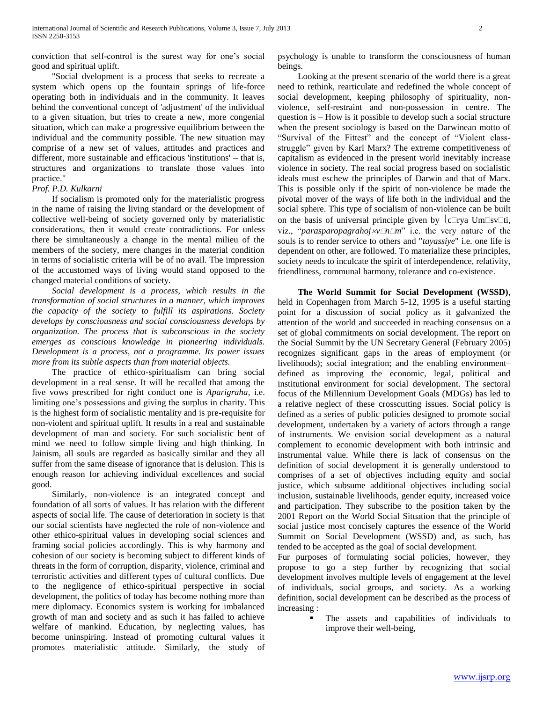conviction that self-control is the surest way for one"s social good and spiritual uplift.

 "Social dvelopment is a process that seeks to recreate a system which opens up the fountain springs of life-force operating both in individuals and in the community. It leaves behind the conventional concept of 'adjustment' of the individual to a given situation, but tries to create a new, more congenial situation, which can make a progressive equilibrium between the individual and the community possible. The new situation may comprise of a new set of values, attitudes and practices and different, more sustainable and efficacious 'institutions' – that is, structures and organizations to translate those values into practice."

### *Prof. P.D. Kulkarni*

 If socialism is promoted only for the materialistic progress in the name of raising the living standard or the development of collective well-being of society governed only by materialistic considerations, then it would create contradictions. For unless there be simultaneously a change in the mental milieu of the members of the society, mere changes in the material condition in terms of socialistic criteria will be of no avail. The impression of the accustomed ways of living would stand opposed to the changed material conditions of society.

 *Social development is a process, which results in the transformation of social structures in a manner, which improves the capacity of the society to fulfill its aspirations. Society develops by consciousness and social consciousness develops by organization. The process that is subconscious in the society emerges as conscious knowledge in pioneering individuals. Development is a process, not a programme. Its power issues more from its subtle aspects than from material objects.*

 The practice of ethico-spiritualism can bring social development in a real sense. It will be recalled that among the five vows prescribed for right conduct one is *Aparigraha*, i.e. limiting one"s possessions and giving the surplus in charity. This is the highest form of socialistic mentality and is pre-requisite for non-violent and spiritual uplift. It results in a real and sustainable development of man and society. For such socialistic bent of mind we need to follow simple living and high thinking. In Jainism, all souls are regarded as basically similar and they all suffer from the same disease of ignorance that is delusion. This is enough reason for achieving individual excellences and social good.

 Similarly, non-violence is an integrated concept and foundation of all sorts of values. It has relation with the different aspects of social life. The cause of deterioration in society is that our social scientists have neglected the role of non-violence and other ethico-spiritual values in developing social sciences and framing social policies accordingly. This is why harmony and cohesion of our society is becoming subject to different kinds of threats in the form of corruption, disparity, violence, criminal and terroristic activities and different types of cultural conflicts. Due to the negligence of ethico-spiritual perspective in social development, the politics of today has become nothing more than mere diplomacy. Economics system is working for imbalanced growth of man and society and as such it has failed to achieve welfare of mankind. Education, by neglecting values, has become uninspiring. Instead of promoting cultural values it promotes materialistic attitude. Similarly, the study of psychology is unable to transform the consciousness of human beings.

 Looking at the present scenario of the world there is a great need to rethink, rearticulate and redefined the whole concept of social development, keeping philosophy of spirituality, nonviolence, self-restraint and non-possession in centre. The question is – How is it possible to develop such a social structure when the present sociology is based on the Darwinean motto of "Survival of the Fittest" and the concept of "Violent classstruggle" given by Karl Marx? The extreme competitiveness of capitalism as evidenced in the present world inevitably increase violence in society. The real social progress based on socialistic ideals must eschew the principles of Darwin and that of Marx. This is possible only if the spirit of non-violence be made the pivotal mover of the ways of life both in the individual and the social sphere. This type of socialism of non-violence can be built on the basis of universal principle given by  $c\Box$ rya Um $\Box$ sv $\Box$ ti, viz., "*parasparopagrahoj* $x \sqrt{n}$ *m*" i.e. the very nature of the souls is to render service to others and "*tayassiye*" i.e. one life is dependent on other, are followed. To materialize these principles, society needs to inculcate the spirit of interdependence, relativity, friendliness, communal harmony, tolerance and co-existence.

 **The World Summit for Social Development (WSSD)**, held in Copenhagen from March 5-12, 1995 is a useful starting point for a discussion of social policy as it galvanized the attention of the world and succeeded in reaching consensus on a set of global commitments on social development. The report on the Social Summit by the UN Secretary General (February 2005) recognizes significant gaps in the areas of employment (or livelihoods); social integration; and the enabling environment– defined as improving the economic, legal, political and institutional environment for social development. The sectoral focus of the Millennium Development Goals (MDGs) has led to a relative neglect of these crosscutting issues. Social policy is defined as a series of public policies designed to promote social development, undertaken by a variety of actors through a range of instruments. We envision social development as a natural complement to economic development with both intrinsic and instrumental value. While there is lack of consensus on the definition of social development it is generally understood to comprises of a set of objectives including equity and social justice, which subsume additional objectives including social inclusion, sustainable livelihoods, gender equity, increased voice and participation. They subscribe to the position taken by the 2001 Report on the World Social Situation that the principle of social justice most concisely captures the essence of the World Summit on Social Development (WSSD) and, as such, has tended to be accepted as the goal of social development.

Fur purposes of formulating social policies, however, they propose to go a step further by recognizing that social development involves multiple levels of engagement at the level of individuals, social groups, and society. As a working definition, social development can be described as the process of increasing :

> The assets and capabilities of individuals to improve their well-being,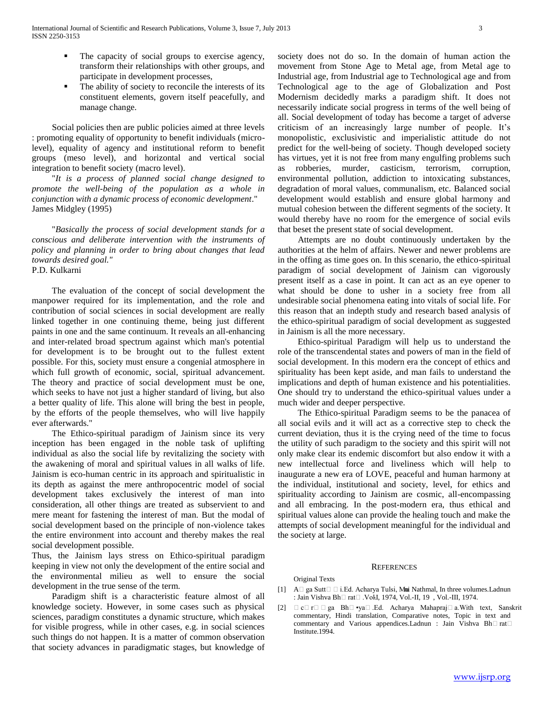- The capacity of social groups to exercise agency, transform their relationships with other groups, and participate in development processes,
- The ability of society to reconcile the interests of its constituent elements, govern itself peacefully, and manage change.

 Social policies then are public policies aimed at three levels : promoting equality of opportunity to benefit individuals (microlevel), equality of agency and institutional reform to benefit groups (meso level), and horizontal and vertical social integration to benefit society (macro level).

 "*It is a process of planned social change designed to promote the well-being of the population as a whole in conjunction with a dynamic process of economic development*." James Midgley (1995)

 "*Basically the process of social development stands for a conscious and deliberate intervention with the instruments of policy and planning in order to bring about changes that lead towards desired goal."*

P.D. Kulkarni

 The evaluation of the concept of social development the manpower required for its implementation, and the role and contribution of social sciences in social development are really linked together in one continuing theme, being just different paints in one and the same continuum. It reveals an all-enhancing and inter-related broad spectrum against which man's potential for development is to be brought out to the fullest extent possible. For this, society must ensure a congenial atmosphere in which full growth of economic, social, spiritual advancement. The theory and practice of social development must be one, which seeks to have not just a higher standard of living, but also a better quality of life. This alone will bring the best in people, by the efforts of the people themselves, who will live happily ever afterwards."

 The Ethico-spiritual paradigm of Jainism since its very inception has been engaged in the noble task of uplifting individual as also the social life by revitalizing the society with the awakening of moral and spiritual values in all walks of life. Jainism is eco-human centric in its approach and spiritualistic in its depth as against the mere anthropocentric model of social development takes exclusively the interest of man into consideration, all other things are treated as subservient to and mere meant for fastening the interest of man. But the modal of social development based on the principle of non-violence takes the entire environment into account and thereby makes the real social development possible.

Thus, the Jainism lays stress on Ethico-spiritual paradigm keeping in view not only the development of the entire social and the environmental milieu as well to ensure the social development in the true sense of the term.

 Paradigm shift is a characteristic feature almost of all knowledge society. However, in some cases such as physical sciences, paradigm constitutes a dynamic structure, which makes for visible progress, while in other cases, e.g. in social sciences such things do not happen. It is a matter of common observation that society advances in paradigmatic stages, but knowledge of society does not do so. In the domain of human action the movement from Stone Age to Metal age, from Metal age to Industrial age, from Industrial age to Technological age and from Technological age to the age of Globalization and Post Modernism decidedly marks a paradigm shift. It does not necessarily indicate social progress in terms of the well being of all. Social development of today has become a target of adverse criticism of an increasingly large number of people. It"s monopolistic, exclusivistic and imperialistic attitude do not predict for the well-being of society. Though developed society has virtues, yet it is not free from many engulfing problems such as robberies, murder, casticism, terrorism, corruption, environmental pollution, addiction to intoxicating substances, degradation of moral values, communalism, etc. Balanced social development would establish and ensure global harmony and mutual cohesion between the different segments of the society. It would thereby have no room for the emergence of social evils that beset the present state of social development.

 Attempts are no doubt continuously undertaken by the authorities at the helm of affairs. Newer and newer problems are in the offing as time goes on. In this scenario, the ethico-spiritual paradigm of social development of Jainism can vigorously present itself as a case in point. It can act as an eye opener to what should be done to usher in a society free from all undesirable social phenomena eating into vitals of social life. For this reason that an indepth study and research based analysis of the ethico-spiritual paradigm of social development as suggested in Jainism is all the more necessary.

 Ethico-spiritual Paradigm will help us to understand the role of the transcendental states and powers of man in the field of social development. In this modern era the concept of ethics and spirituality has been kept aside, and man fails to understand the implications and depth of human existence and his potentialities. One should try to understand the ethico-spiritual values under a much wider and deeper perspective.

 The Ethico-spiritual Paradigm seems to be the panacea of all social evils and it will act as a corrective step to check the current deviation, thus it is the crying need of the time to focus the utility of such paradigm to the society and this spirit will not only make clear its endemic discomfort but also endow it with a new intellectual force and liveliness which will help to inaugurate a new era of LOVE, peaceful and human harmony at the individual, institutional and society, level, for ethics and spirituality according to Jainism are cosmic, all-encompassing and all embracing. In the post-modern era, thus ethical and spiritual values alone can provide the healing touch and make the attempts of social development meaningful for the individual and the society at large.

#### **REFERENCES**

Original Texts

- [1] A $\Box$  ga Sutt $\Box$  i.Ed. Acharya Tulsi, Mui Nathmal, In three volumes.Ladnun : Jain Vishva Bh $\Box$  rat $\Box$ . Vol.I, 1974, Vol.-II, 19, Vol.-III, 1974.
- [2]  $\Box$  c $\Box$  r $\Box$  ga Bh $\Box$ •ya $\Box$ .Ed. Acharya Mahapraj $\Box$  a.With text, Sanskrit commentary, Hindi translation, Comparative notes, Topic in text and commentary and Various appendices. Ladnun : Jain Vishva Bh $\Box$ rat $\Box$ Institute.1994.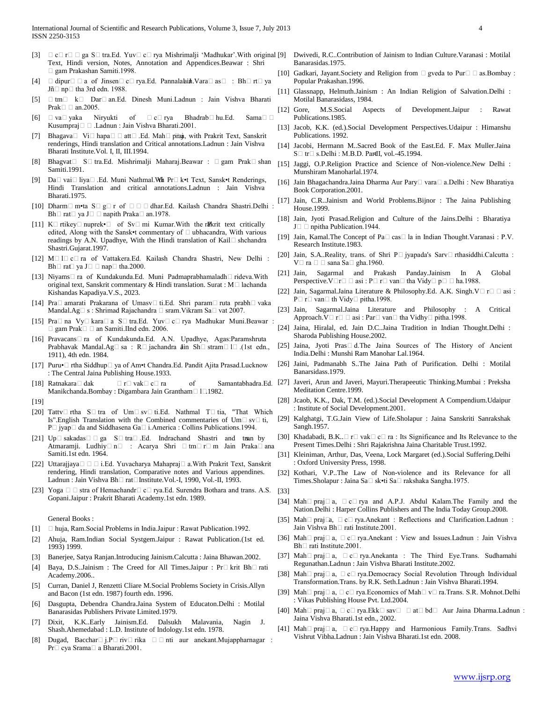- [3]  $\Box$  c $\Box$  r $\Box$  ga S $\Box$  tra.Ed. Yuv $\Box$  c $\Box$  rya Mishrimalji 'Madhukar'.With original [9] Text, Hindi version, Notes, Annotation and Appendices.Beawar : Shri gam Prakashan Samiti.1998.
- $\Box$  dipur $\Box$  a of Jinsen $\Box$  c $\Box$  rya.Ed. Pannalakin Vara $\Box$  as  $\Box$ : Bh $\Box$  rt $\Box$  ya  $J\tilde{n}$  np  $\Box$  tha 3rd edn. 1988.
- [5]  $\Box$  tm  $\Box$  k  $\Box$  Dar $\Box$  an.Ed. Dinesh Muni.Ladnun : Jain Vishva Bharati Prak $\square$  an.2005.
- [6]  $\Box$  va $\Box$  yaka Niryukti of  $\Box$  c $\Box$  rya Bhadrab $\Box$  hu.Ed. Sama $\Box$   $\Box$ Kusumpraj□ □ .Ladnun : Jain Vishva Bharati.2001.
- [7] Bhagava $\Box$  Vi $\Box$  hapa $\Box$  $\Box$  att $\Box$ .Ed. Mah $\Box$  prani, with Prakrit Text, Sanskrit renderings, Hindi translation and Critical annotations.Ladnun : Jain Vishva Bharati Institute.Vol. I, II, III.1994.
- [8] Bhagvat  $\Box$  S $\Box$  tra.Ed. Mishrimalji Maharaj.Beawar :  $\Box$  gam Prak $\Box$  shan Samiti.1991.
- [9] Da□ vai□ liya□ .Ed. Muni Nathmal.Wh Pr□ k•t Text, Sansk•t Renderings, Hindi Translation and critical annotations.Ladnun : Jain Vishva Bharati.1975.
- [10] Dharm $\Box$  m•ta  $S \Box g \Box r$  of  $\Box \Box \Box$  dhar.Ed. Kailash Chandra Shastri.Delhi Bh $\Box$  rat $\Box$  ya J $\Box$   $\Box$  napith Praka $\Box$  an.1978.
- [11] K $\Box$  rtikey $\Box$  nuprek• $\Box$  of Sv $\Box$  mi Kumar. With the rRkrit text critically edited, Along with the Sansk•t commentary of  $\Box$  ubhacandra, With various readings by A.N. Upadhye, With the Hindi translation of Kail $\Box$  shchandra Shastri.Gujarat.1997.
- [12] M $\Box$  L $\Box$  c $\Box$  ra of Vattakera.Ed. Kailash Chandra Shastri, New Delhi : Bh $\Box$  rat $\Box$  ya J $\Box$   $\Box$  nap $\Box$  tha.2000.
- [13] Niyams $\Box$  ra of Kundakunda.Ed. Muni Padmaprabhamaladh $\Box$  rideva.With original text, Sanskrit commentary & Hindi translation. Surat :  $M \Box$  lachanda Kishandas Kapadiya.V.S., 2023.
- [14] Pra□ amarati Prakarana of Umasv□ ti.Ed. Shri param□ ruta prabh□ vaka Mandal.Ag $\Box$  s : Shrimad Rajachandra  $\Box$  sram. Vikram Sa $\Box$  vat 2007.
- [15] Pra $\Box$  na Vy $\Box$  kara $\Box$  a S $\Box$  tra.Ed. Yuv $\Box$  c $\Box$  rya Madhukar Muni.Beawar :  $\Box$  gam Prak $\Box$   $\Box$  an Samiti.IInd edn. 2006.
- [16] Pravacans $\Box$  ra of Kundakunda.Ed. A.N. Upadhye, Agas:Paramshruta Prabhavak Mandal.Ag $\Box$ sa : R $\Box$ jachandra din Sh $\Box$ stram $\Box$ l $\Box$ .(1st edn., 1911), 4th edn. 1984.
- [17] Puru•□ rtha Siddhup□ ya of Am•t Chandra.Ed. Pandit Ajita Prasad.Lucknow : The Central Jaina Publishing House.1933.
- [18] Ratnakara $\Box$  dak  $\Box$   $r\Box$  vak $\Box$  c $\Box$  ra of Manikchanda.Bombay : Digambara Jain Grantham<sup>11</sup>1982.
- [19]
- [20] Tattv $\Box$  rtha S $\Box$  tra of Um $\Box$  sv $\Box$  ti.Ed. Nathmal T $\Box$  tia, "That Which Is".English Translation with the Combined commentaries of Um $\Box$  sv $\Box$  ti, P□ jyap□ da and Siddhasena Ga□ i.America : Collins Publications.1994.
- [21]  $Up \Box$  sakadas $\Box \Box$  ga  $S \Box$  tra $\Box$ . Ed. Indrachand Shastri and transly Atmaramji. Ludhiy $\Box$  n $\Box$ : Acarya Shri  $\Box$  tm $\Box$  r $\Box$  m Jain Praka $\Box$  ana Samiti.1st edn. 1964.
- [22] Uttarajjaya□ □ □ i.Ed. Yuvacharya Mahapraj□ a.With Prakrit Text, Sanskrit rendering, Hindi translation, Comparative notes and Various appendines. Ladnun : Jain Vishva Bh□ rat□Institute.Vol.-I, 1990, Vol.-II, 1993.
- [23] Yoga  $\Box$   $\Box$  stra of Hemachandr $\Box$  c $\Box$  rya.Ed. Surendra Bothara and trans. A.S. Gopani.Jaipur : Prakrit Bharati Academy.1st edn. 1989.

General Books :

- [1] huja, Ram.Social Problems in India.Jaipur : Rawat Publication.1992.
- [2] Ahuja, Ram.Indian Social Systgem.Jaipur : Rawat Publication.(1st ed. 1993) 1999.
- [3] Banerjee, Satya Ranjan.Introducing Jainism.Calcutta : Jaina Bhawan.2002.
- [4] Baya, D.S. Jainism : The Creed for All Times. Jaipur : Pr $\Box$  krit Bh $\Box$  rati Academy.2006..
- [5] Curran, Daniel J, Renzetti Cliare M.Social Problems Society in Crisis.Allyn and Bacon (1st edn. 1987) fourth edn. 1996.
- [6] Dasgupta, Debendra Chandra.Jaina System of Educaton.Delhi : Motilal Banarasidas Publishers Private Limited.1979.
- [7] Dixit, K.K..Early Jainism.Ed. Dalsukh Malavania, Nagin J. Shash.Ahemedabad : L.D. Institute of Indology.1st edn. 1978.
- [8] Dugad, Bacchar $\Box$  j.P $\Box$  riv $\Box$  rika  $\Box$   $\Box$  nti aur anekant.Mujappharnagar : Pr□ cya Srama□ a Bharati.2001.
- [9] Dwivedi, R.C..Contribution of Jainism to Indian Culture.Varanasi : Motilal Banarasidas.1975.
- [10] Gadkari, Jayant. Society and Religion from  $\Box$  gveda to Pur $\Box$  as. Bombay : Popular Prakashan.1996.
- [11] Glassnapp, Helmuth.Jainism : An Indian Religion of Salvation.Delhi : Motilal Banarasidass, 1984.
- [12] Gore, M.S.Social Aspects of Development.Jaipur : Rawat Publications.1985.
- [13] Jacob, K.K. (ed.).Social Development Perspectives.Udaipur : Himanshu Publications. 1992.
- [14] Jacobi, Hermann M..Sacred Book of the East.Ed. F. Max Muller.Jaina S□ tr□ s.Delhi : M.B.D. PartII, vol.-45.1994.
- [15] Jaggi, O.P.Religion Practice and Science of Non-violence.New Delhi : Munshiram Manoharlal.1974.
- [16] Jain Bhagachandra.Jaina Dharma Aur Pary $\Box$  vara $\Box$  a.Delhi : New Bharatiya Book Corporation.2001.
- [17] Jain, C.R..Jainism and World Problems.Bijnor : The Jaina Publishing House.1999.
- [18] Jain, Jyoti Prasad.Religion and Culture of the Jains.Delhi : Bharatiya J $\Box$  npitha Publication.1944.
- [19] Jain, Kamal.The Concept of Pa $\square$  cas $\square$  la in Indian Thought. Varanasi : P.V. Research Institute.1983.
- [20] Jain, S.A..Reality, trans. of Shri  $P\Box$  jyapada's Sarv $\Box$  rthasiddhi.Calcutta :  $V \Box$  ra  $\Box$   $\Box$  sana Sa $\Box$  gha.1960.
- [21] Jain, Sagarmal and Prakash Panday.Jainism In A Global Perspective.  $V \Box r \Box \Box$ asi : P $\Box$ r $\Box$ van $\Box$  tha Vidy $\Box$  p $\Box$   $\Box$  ha.1988.
- [22] Jain, Sagarmal.Jaina Literature & Philosophy.Ed. A.K. Singh. $V \Box \Box \Box$  asi :  $P \Box r \Box van \Box th \text{Vidy} \Box pitha.1998.$
- [23] Jain, Sagarmal.Jaina Literature and Philosophy : A Critical Approach.  $V \square \square \square$  asi : Par $\square$  van $\square$  tha Vidhy $\square$  pitha.1998.
- [24] Jaina, Hiralal, ed. Jain D.C..Jaina Tradition in Indian Thought.Delhi : Sharoda Publishing House.2002.
- [25] Jaina, Jyoti Pras $\Box$  d. The Jaina Sources of The History of Ancient India.Delhi : Munshi Ram Manohar Lal.1964.
- [26] Jaini, Padmanabh S..The Jaina Path of Purification. Delhi : Motilal Banarsidass.1979.
- Samantabhadra.Ed. [27] Javeri, Arun and Javeri, Mayuri.Therapeeutic Thinking.Mumbai : Preksha Meditation Centre.1999.
	- [28] Jcaob, K.K., Dak, T.M. (ed.).Social Development A Compendium.Udaipur : Institute of Social Development.2001.
	- [29] Kalghatgi, T.G.Jain View of Life.Sholapur : Jaina Sanskriti Sanrakshak Sangh.1957.
	- [30] Khadabadi, B.K.. $\Box$  r $\Box$  vak $\Box$  c $\Box$  ra : Its Significance and Its Relevance to the Present Times.Delhi : Shri Rajakrishna Jaina Charitable Trust.1992.
	- [31] Kleiniman, Arthur, Das, Veena, Lock Margaret (ed.).Social Suffering.Delhi : Oxford University Press, 1998.
	- [32] Kothari, V.P..The Law of Non-violence and its Relevance for all Times.Sholapur : Jaina Sa□ sk•ti Sa□ rakshaka Sangha.1975.
	- [33]
	- [34] Mah $\Box$  praj $\Box$  a,  $\Box$  c $\Box$  rya and A.P.J. Abdul Kalam.The Family and the Nation.Delhi : Harper Collins Publishers and The India Today Group.2008.
	- [35] Mah $\Box$  praj $\Box$ a,  $\Box$  c $\Box$  rya.Anekant : Reflections and Clarification.Ladnun : Jain Vishva Bh $\Box$  rati Institute.2001.
	- [36] Mah $\Box$  praj $\Box$  a,  $\Box$  c $\Box$  rya.Anekant : View and Issues.Ladnun : Jain Vishva  $Bh \Box$  rati Institute. 2001.
	- [37] Mah $\Box$  praj $\Box$  a,  $\Box$  c $\Box$  rya.Anekanta : The Third Eye.Trans. Sudhamahi Regunathan.Ladnun : Jain Vishva Bharati Institute.2002.
	- [38] Mah $\Box$  praj $\Box$  a,  $\Box$  c $\Box$  rya.Democracy Social Revolution Through Individual Transformation.Trans. by R.K. Seth.Ladnun : Jain Vishva Bharati.1994.
	- [39] Mah $\Box$  praj $\Box$  a,  $\Box$  c $\Box$  rya. Economics of Mah $\Box$  v $\Box$  ra. Trans. S.R. Mohnot. Delhi : Vikas Publishing House Pvt. Ltd.2004.
	- [40] Mah $\Box$  praj $\Box$  a,  $\Box$  c $\Box$  rya.Ekk $\Box$  sav $\Box$  at $\Box$  bd $\Box$  Aur Jaina Dharma.Ladnun : Jaina Vishva Bharati.1st edn., 2002.
	- [41] Mah $\Box$  praj $\Box$  a,  $\Box$  c $\Box$  rya.Happy and Harmonious Family.Trans. Sadhvi Vishrut Vibha.Ladnun : Jain Vishva Bharati.1st edn. 2008.